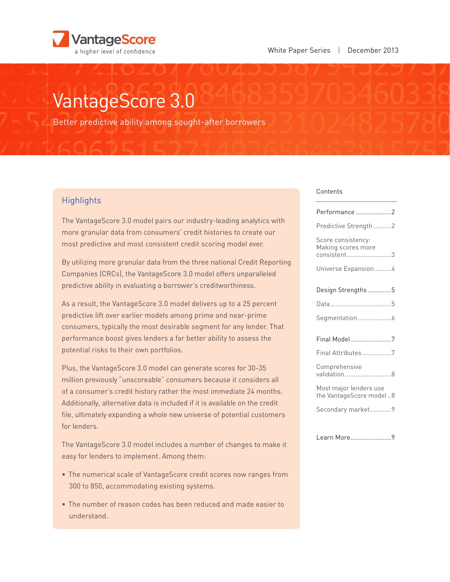

# VantageScore 3.0

Better predictive ability among sought-after borrowers

## **Highlights**

The VantageScore 3.0 model pairs our industry-leading analytics with more granular data from consumers' credit histories to create our most predictive and most consistent credit scoring model ever.

By utilizing more granular data from the three national Credit Reporting Companies (CRCs), the VantageScore 3.0 model offers unparalleled predictive ability in evaluating a borrower's creditworthiness.

As a result, the VantageScore 3.0 model delivers up to a 25 percent predictive lift over earlier models among prime and near-prime consumers, typically the most desirable segment for any lender. That performance boost gives lenders a far better ability to assess the potential risks to their own portfolios.

Plus, the VantageScore 3.0 model can generate scores for 30-35 million previously "unscoreable" consumers because it considers all of a consumer's credit history rather the most immediate 24 months. Additionally, alternative data is included if it is available on the credit file, ultimately expanding a whole new universe of potential customers for lenders.

The VantageScore 3.0 model includes a number of changes to make it easy for lenders to implement. Among them:

- The numerical scale of VantageScore credit scores now ranges from 300 to 850, accommodating existing systems.
- The number of reason codes has been reduced and made easier to understand.

#### Contents

| Performance2                                            |
|---------------------------------------------------------|
| Predictive Strength 2                                   |
| Score consistency:<br>Making scores more<br>consistent3 |
| Universe Expansion 4                                    |
| Design Strengths 5                                      |
|                                                         |
| Segmentation6                                           |
| Final Model7                                            |
| Final Attributes 7                                      |
| Comprehensive<br>validation8                            |
| Most major lenders use<br>the VantageScore model 8      |
| Secondary market9                                       |
|                                                         |
| Learn More9                                             |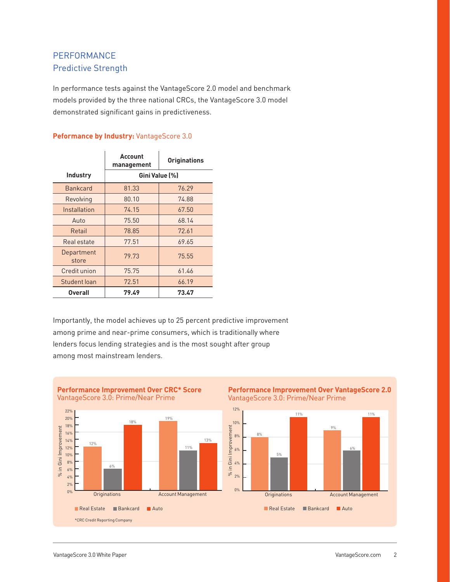# PERFORMANCE Predictive Strength

In performance tests against the VantageScore 2.0 model and benchmark models provided by the three national CRCs, the VantageScore 3.0 model demonstrated significant gains in predictiveness.

### **Peformance by Industry: VantageScore 3.0**

|                     | Account<br>management | <b>Originations</b> |
|---------------------|-----------------------|---------------------|
| <b>Industry</b>     | Gini Value [%]        |                     |
| <b>Bankcard</b>     | 81.33                 | 76.29               |
| Revolving           | 80.10                 | 74.88               |
| Installation        | 74.15                 | 67.50               |
| Auto                | 75.50                 | 68.14               |
| Retail              | 78.85                 | 72.61               |
| Real estate         | 77.51                 | 69.65               |
| Department<br>store | 79.73                 | 75.55               |
| Credit union        | 75.75                 | 61.46               |
| Student loan        | 72.51                 | 66.19               |
| <b>Overall</b>      | 79.49                 | 73.47               |

Importantly, the model achieves up to 25 percent predictive improvement among prime and near-prime consumers, which is traditionally where lenders focus lending strategies and is the most sought after group among most mainstream lenders.

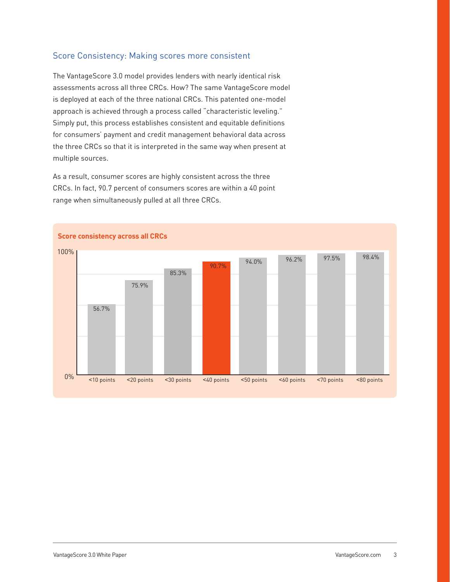## Score Consistency: Making scores more consistent

The VantageScore 3.0 model provides lenders with nearly identical risk assessments across all three CRCs. How? The same VantageScore model is deployed at each of the three national CRCs. This patented one-model approach is achieved through a process called "characteristic leveling." Simply put, this process establishes consistent and equitable definitions for consumers' payment and credit management behavioral data across the three CRCs so that it is interpreted in the same way when present at multiple sources.

As a result, consumer scores are highly consistent across the three CRCs. In fact, 90.7 percent of consumers scores are within a 40 point range when simultaneously pulled at all three CRCs.

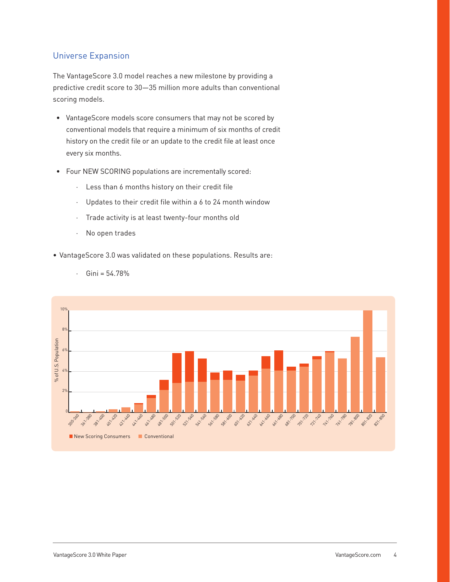## Universe Expansion

The VantageScore 3.0 model reaches a new milestone by providing a predictive credit score to 30—35 million more adults than conventional scoring models.

- VantageScore models score consumers that may not be scored by conventional models that require a minimum of six months of credit history on the credit file or an update to the credit file at least once every six months.
- • Four NEW SCORING populations are incrementally scored:
	- · Less than 6 months history on their credit file
	- · Updates to their credit file within a 6 to 24 month window
	- · Trade activity is at least twenty-four months old
	- · No open trades
- • VantageScore 3.0 was validated on these populations. Results are:
	- $·$  Gini = 54.78%

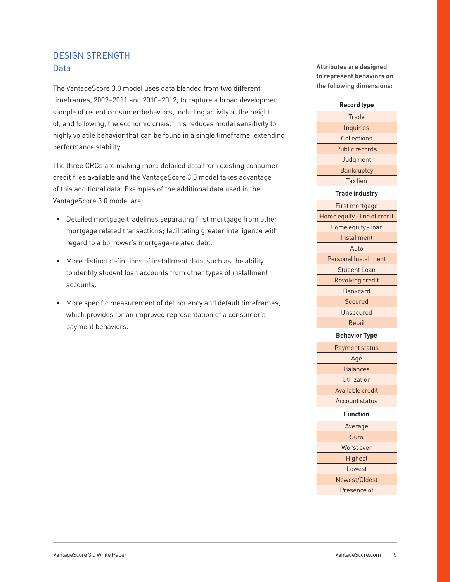## DESIGN STRENGTH Data

The VantageScore 3.0 model uses data blended from two different timeframes, 2009–2011 and 2010–2012, to capture a broad development sample of recent consumer behaviors, including activity at the height of, and following, the economic crisis. This reduces model sensitivity to highly volatile behavior that can be found in a single timeframe; extending performance stability.

The three CRCs are making more detailed data from existing consumer credit files available and the VantageScore 3.0 model takes advantage of this additional data. Examples of the additional data used in the VantageScore 3.0 model are:

- Detailed mortgage tradelines separating first mortgage from other mortgage related transactions; facilitating greater intelligence with regard to a borrower's mortgage-related debt.
- More distinct definitions of installment data, such as the ability to identify student loan accounts from other types of installment accounts.
- • More specific measurement of delinquency and default timeframes, which provides for an improved representation of a consumer's payment behaviors.

**Attributes are designed to represent behaviors on the following dimensions:**

#### **Record type**

**Trade Inquiries Collections** Public records Judgment **Bankruptcy** Tax lien

#### **Trade industry**

First mortgage Home equity - line of credit Home equity - loan Installment Auto Personal Installment Student Loan Revolving credit Bankcard Secured Unsecured Retail

#### **Behavior Type**

Payment status Age **Balances Utilization** Available credit Account status

#### **Function**

| Average       |  |
|---------------|--|
| Sum           |  |
| Worst ever    |  |
| Highest       |  |
| Lowest        |  |
| Newest/Oldest |  |
| Presence of   |  |

 $\overline{\phantom{a}}$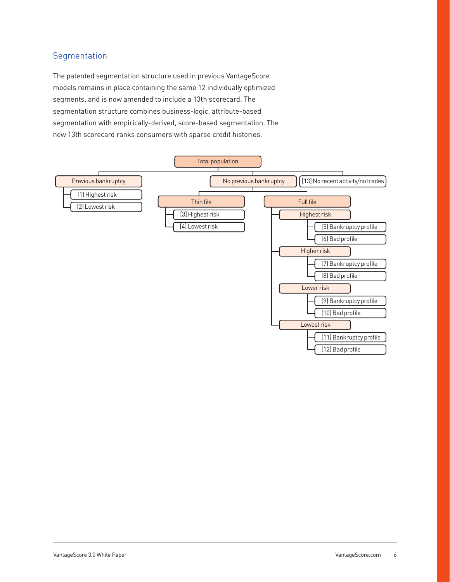## Segmentation

The patented segmentation structure used in previous VantageScore models remains in place containing the same 12 individually optimized segments, and is now amended to include a 13th scorecard. The segmentation structure combines business-logic, attribute-based segmentation with empirically-derived, score-based segmentation. The new 13th scorecard ranks consumers with sparse credit histories.

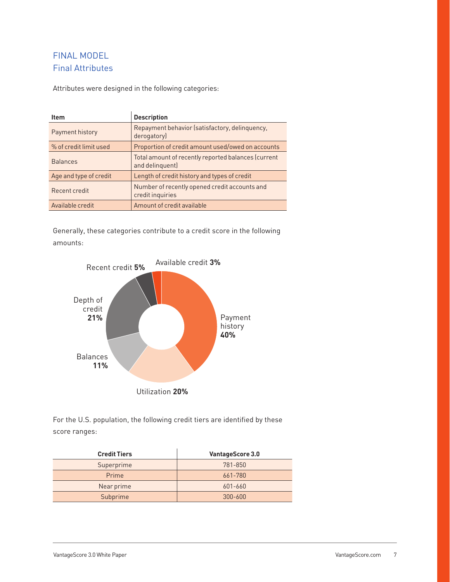# FINAL MODEL Final Attributes

Attributes were designed in the following categories:

| <b>Item</b>            | <b>Description</b>                                                     |
|------------------------|------------------------------------------------------------------------|
| Payment history        | Repayment behavior (satisfactory, delinquency,<br>derogatory)          |
| % of credit limit used | Proportion of credit amount used/owed on accounts                      |
| <b>Balances</b>        | Total amount of recently reported balances (current<br>and delinquent) |
| Age and type of credit | Length of credit history and types of credit                           |
| Recent credit          | Number of recently opened credit accounts and<br>credit inquiries      |
| Available credit       | Amount of credit available                                             |

Generally, these categories contribute to a credit score in the following amounts:



For the U.S. population, the following credit tiers are identified by these score ranges:

| <b>Credit Tiers</b> | <b>VantageScore 3.0</b> |
|---------------------|-------------------------|
| Superprime          | 781-850                 |
| Prime               | 661-780                 |
| Near prime          | 601-660                 |
| Subprime            | $300 - 600$             |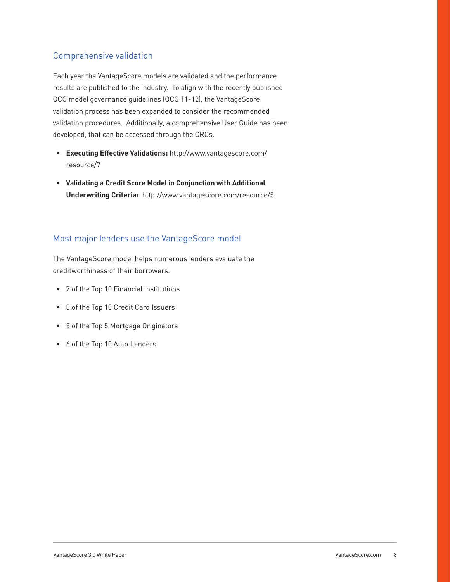## Comprehensive validation

Each year the VantageScore models are validated and the performance results are published to the industry. To align with the recently published OCC model governance guidelines (OCC 11-12), the VantageScore validation process has been expanded to consider the recommended validation procedures. Additionally, a comprehensive User Guide has been developed, that can be accessed through the CRCs.

- **• Executing Effective Validations:** [http://www.vantagescore.com/](http://www.vantagescore.com/resource/7) [resource/7](http://www.vantagescore.com/resource/7)
- **• Validating a Credit Score Model in Conjunction with Additional Underwriting Criteria:** <http://www.vantagescore.com/resource/5>

## Most major lenders use the VantageScore model

The VantageScore model helps numerous lenders evaluate the creditworthiness of their borrowers.

- • 7 of the Top 10 Financial Institutions
- • 8 of the Top 10 Credit Card Issuers
- • 5 of the Top 5 Mortgage Originators
- • 6 of the Top 10 Auto Lenders